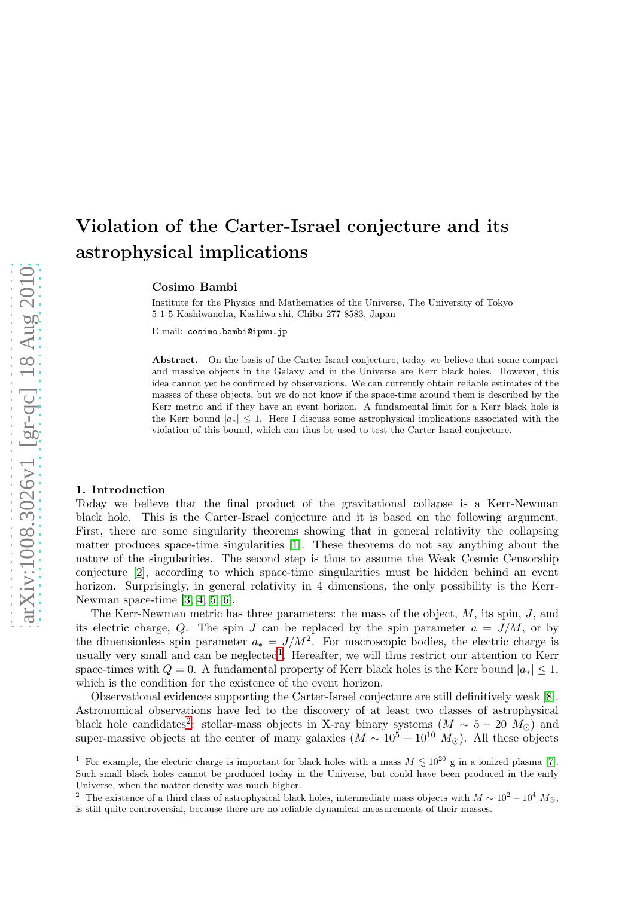# Violation of the Carter-Israel conjecture and its astrophysical implications

Cosimo Bambi

Institute for the Physics and Mathematics of the Universe, The University of Tokyo 5-1-5 Kashiwanoha, Kashiwa-shi, Chiba 277-8583, Japan

E-mail: cosimo.bambi@ipmu.jp

Abstract. On the basis of the Carter-Israel conjecture, today we believe that some compact and massive objects in the Galaxy and in the Universe are Kerr black holes. However, this idea cannot yet be confirmed by observations. We can currently obtain reliable estimates of the masses of these objects, but we do not know if the space-time around them is described by the Kerr metric and if they have an event horizon. A fundamental limit for a Kerr black hole is the Kerr bound  $|a_*| \leq 1$ . Here I discuss some astrophysical implications associated with the violation of this bound, which can thus be used to test the Carter-Israel conjecture.

### 1. Introduction

Today we believe that the final product of the gravitational collapse is a Kerr-Newman black hole. This is the Carter-Israel conjecture and it is based on the following argument. First, there are some singularity theorems showing that in general relativity the collapsing matter produces space-time singularities [\[1\]](#page-5-0). These theorems do not say anything about the nature of the singularities. The second step is thus to assume the Weak Cosmic Censorship conjecture [\[2\]](#page-5-1), according to which space-time singularities must be hidden behind an event horizon. Surprisingly, in general relativity in 4 dimensions, the only possibility is the Kerr-Newman space-time [\[3,](#page-5-2) [4,](#page-5-3) [5,](#page-5-4) [6\]](#page-5-5).

The Kerr-Newman metric has three parameters: the mass of the object,  $M$ , its spin,  $J$ , and its electric charge, Q. The spin J can be replaced by the spin parameter  $a = J/M$ , or by the dimensionless spin parameter  $a_* = J/M^2$ . For macroscopic bodies, the electric charge is usually very small and can be neglected<sup>[1](#page-0-0)</sup>. Hereafter, we will thus restrict our attention to Kerr space-times with  $Q = 0$ . A fundamental property of Kerr black holes is the Kerr bound  $|a_*| \leq 1$ , which is the condition for the existence of the event horizon.

Observational evidences supporting the Carter-Israel conjecture are still definitively weak [\[8\]](#page-5-6). Astronomical observations have led to the discovery of at least two classes of astrophysical black hole candidates<sup>[2](#page-0-1)</sup>: stellar-mass objects in X-ray binary systems  $(M \sim 5 - 20 M_{\odot})$  and super-massive objects at the center of many galaxies  $(M \sim 10^5 - 10^{10} M_{\odot})$ . All these objects

<span id="page-0-0"></span><sup>&</sup>lt;sup>1</sup> For example, the electric charge is important for black holes with a mass  $M \leq 10^{20}$  g in a ionized plasma [\[7\]](#page-5-7). Such small black holes cannot be produced today in the Universe, but could have been produced in the early Universe, when the matter density was much higher.

<span id="page-0-1"></span><sup>&</sup>lt;sup>2</sup> The existence of a third class of astrophysical black holes, intermediate mass objects with  $M \sim 10^2 - 10^4$   $M_{\odot}$ , is still quite controversial, because there are no reliable dynamical measurements of their masses.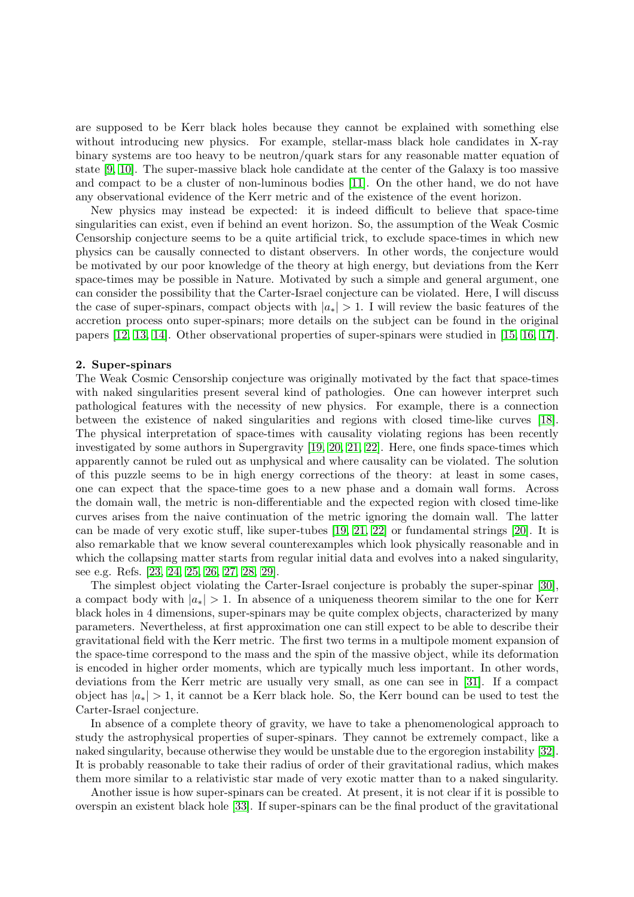are supposed to be Kerr black holes because they cannot be explained with something else without introducing new physics. For example, stellar-mass black hole candidates in X-ray binary systems are too heavy to be neutron/quark stars for any reasonable matter equation of state [\[9,](#page-5-8) [10\]](#page-6-0). The super-massive black hole candidate at the center of the Galaxy is too massive and compact to be a cluster of non-luminous bodies [\[11\]](#page-6-1). On the other hand, we do not have any observational evidence of the Kerr metric and of the existence of the event horizon.

New physics may instead be expected: it is indeed difficult to believe that space-time singularities can exist, even if behind an event horizon. So, the assumption of the Weak Cosmic Censorship conjecture seems to be a quite artificial trick, to exclude space-times in which new physics can be causally connected to distant observers. In other words, the conjecture would be motivated by our poor knowledge of the theory at high energy, but deviations from the Kerr space-times may be possible in Nature. Motivated by such a simple and general argument, one can consider the possibility that the Carter-Israel conjecture can be violated. Here, I will discuss the case of super-spinars, compact objects with  $|a_*| > 1$ . I will review the basic features of the accretion process onto super-spinars; more details on the subject can be found in the original papers [\[12,](#page-6-2) [13,](#page-6-3) [14\]](#page-6-4). Other observational properties of super-spinars were studied in [\[15,](#page-6-5) [16,](#page-6-6) [17\]](#page-6-7).

#### 2. Super-spinars

The Weak Cosmic Censorship conjecture was originally motivated by the fact that space-times with naked singularities present several kind of pathologies. One can however interpret such pathological features with the necessity of new physics. For example, there is a connection between the existence of naked singularities and regions with closed time-like curves [\[18\]](#page-6-8). The physical interpretation of space-times with causality violating regions has been recently investigated by some authors in Supergravity [\[19,](#page-6-9) [20,](#page-6-10) [21,](#page-6-11) [22\]](#page-6-12). Here, one finds space-times which apparently cannot be ruled out as unphysical and where causality can be violated. The solution of this puzzle seems to be in high energy corrections of the theory: at least in some cases, one can expect that the space-time goes to a new phase and a domain wall forms. Across the domain wall, the metric is non-differentiable and the expected region with closed time-like curves arises from the naive continuation of the metric ignoring the domain wall. The latter can be made of very exotic stuff, like super-tubes [\[19,](#page-6-9) [21,](#page-6-11) [22\]](#page-6-12) or fundamental strings [\[20\]](#page-6-10). It is also remarkable that we know several counterexamples which look physically reasonable and in which the collapsing matter starts from regular initial data and evolves into a naked singularity, see e.g. Refs. [\[23,](#page-6-13) [24,](#page-6-14) [25,](#page-6-15) [26,](#page-6-16) [27,](#page-6-17) [28,](#page-6-18) [29\]](#page-6-19).

The simplest object violating the Carter-Israel conjecture is probably the super-spinar [\[30\]](#page-6-20), a compact body with  $|a_*| > 1$ . In absence of a uniqueness theorem similar to the one for Kerr black holes in 4 dimensions, super-spinars may be quite complex objects, characterized by many parameters. Nevertheless, at first approximation one can still expect to be able to describe their gravitational field with the Kerr metric. The first two terms in a multipole moment expansion of the space-time correspond to the mass and the spin of the massive object, while its deformation is encoded in higher order moments, which are typically much less important. In other words, deviations from the Kerr metric are usually very small, as one can see in [\[31\]](#page-6-21). If a compact object has  $|a_*| > 1$ , it cannot be a Kerr black hole. So, the Kerr bound can be used to test the Carter-Israel conjecture.

In absence of a complete theory of gravity, we have to take a phenomenological approach to study the astrophysical properties of super-spinars. They cannot be extremely compact, like a naked singularity, because otherwise they would be unstable due to the ergoregion instability [\[32\]](#page-6-22). It is probably reasonable to take their radius of order of their gravitational radius, which makes them more similar to a relativistic star made of very exotic matter than to a naked singularity.

Another issue is how super-spinars can be created. At present, it is not clear if it is possible to overspin an existent black hole [\[33\]](#page-6-23). If super-spinars can be the final product of the gravitational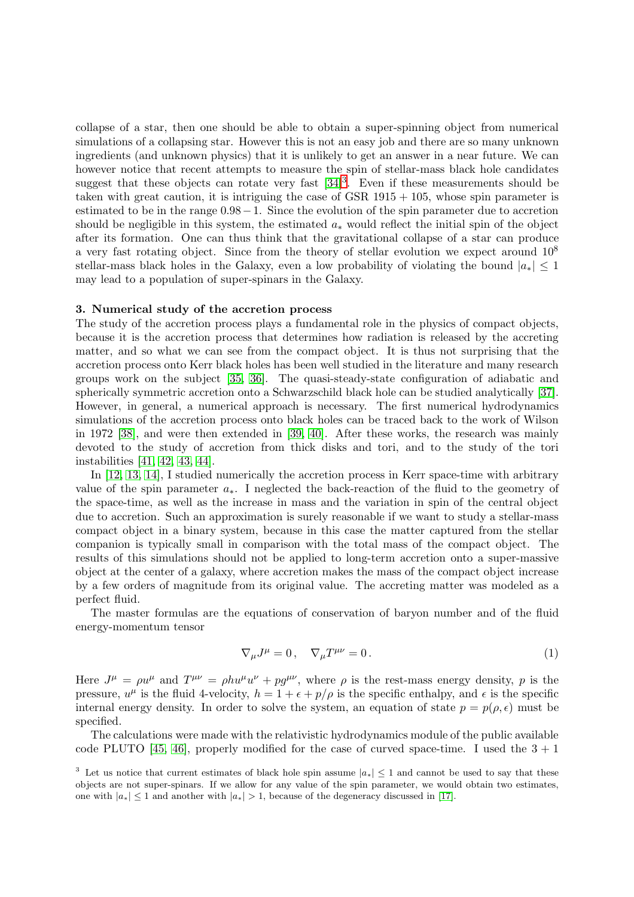collapse of a star, then one should be able to obtain a super-spinning object from numerical simulations of a collapsing star. However this is not an easy job and there are so many unknown ingredients (and unknown physics) that it is unlikely to get an answer in a near future. We can however notice that recent attempts to measure the spin of stellar-mass black hole candidates suggest that these objects can rotate very fast  $[34]^3$  $[34]^3$  $[34]^3$ . Even if these measurements should be taken with great caution, it is intriguing the case of GSR  $1915 + 105$ , whose spin parameter is estimated to be in the range 0.98−1. Since the evolution of the spin parameter due to accretion should be negligible in this system, the estimated  $a_*$  would reflect the initial spin of the object after its formation. One can thus think that the gravitational collapse of a star can produce a very fast rotating object. Since from the theory of stellar evolution we expect around  $10^8$ stellar-mass black holes in the Galaxy, even a low probability of violating the bound  $|a_*| \leq 1$ may lead to a population of super-spinars in the Galaxy.

#### 3. Numerical study of the accretion process

The study of the accretion process plays a fundamental role in the physics of compact objects, because it is the accretion process that determines how radiation is released by the accreting matter, and so what we can see from the compact object. It is thus not surprising that the accretion process onto Kerr black holes has been well studied in the literature and many research groups work on the subject [\[35,](#page-6-25) [36\]](#page-6-26). The quasi-steady-state configuration of adiabatic and spherically symmetric accretion onto a Schwarzschild black hole can be studied analytically [\[37\]](#page-6-27). However, in general, a numerical approach is necessary. The first numerical hydrodynamics simulations of the accretion process onto black holes can be traced back to the work of Wilson in 1972 [\[38\]](#page-6-28), and were then extended in [\[39,](#page-6-29) [40\]](#page-6-30). After these works, the research was mainly devoted to the study of accretion from thick disks and tori, and to the study of the tori instabilities [\[41,](#page-6-31) [42,](#page-6-32) [43,](#page-6-33) [44\]](#page-6-34).

In [\[12,](#page-6-2) [13,](#page-6-3) [14\]](#page-6-4), I studied numerically the accretion process in Kerr space-time with arbitrary value of the spin parameter  $a_{*}$ . I neglected the back-reaction of the fluid to the geometry of the space-time, as well as the increase in mass and the variation in spin of the central object due to accretion. Such an approximation is surely reasonable if we want to study a stellar-mass compact object in a binary system, because in this case the matter captured from the stellar companion is typically small in comparison with the total mass of the compact object. The results of this simulations should not be applied to long-term accretion onto a super-massive object at the center of a galaxy, where accretion makes the mass of the compact object increase by a few orders of magnitude from its original value. The accreting matter was modeled as a perfect fluid.

The master formulas are the equations of conservation of baryon number and of the fluid energy-momentum tensor

<span id="page-2-1"></span>
$$
\nabla_{\mu}J^{\mu} = 0, \quad \nabla_{\mu}T^{\mu\nu} = 0. \tag{1}
$$

Here  $J^{\mu} = \rho u^{\mu}$  and  $T^{\mu\nu} = \rho h u^{\mu} u^{\nu} + p g^{\mu\nu}$ , where  $\rho$  is the rest-mass energy density, p is the pressure,  $u^{\mu}$  is the fluid 4-velocity,  $h = 1 + \epsilon + p/\rho$  is the specific enthalpy, and  $\epsilon$  is the specific internal energy density. In order to solve the system, an equation of state  $p = p(\rho, \epsilon)$  must be specified.

The calculations were made with the relativistic hydrodynamics module of the public available code PLUTO [\[45,](#page-7-0) [46\]](#page-7-1), properly modified for the case of curved space-time. I used the  $3 + 1$ 

<span id="page-2-0"></span><sup>&</sup>lt;sup>3</sup> Let us notice that current estimates of black hole spin assume  $|a_*| \leq 1$  and cannot be used to say that these objects are not super-spinars. If we allow for any value of the spin parameter, we would obtain two estimates, one with  $|a_*| \leq 1$  and another with  $|a_*| > 1$ , because of the degeneracy discussed in [\[17\]](#page-6-7).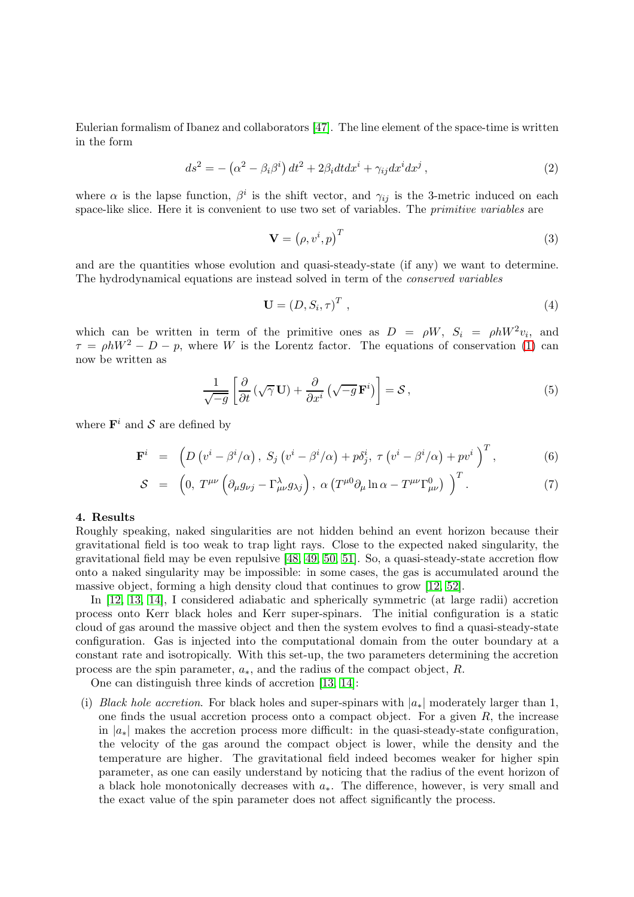Eulerian formalism of Ibanez and collaborators [\[47\]](#page-7-2). The line element of the space-time is written in the form

$$
ds^{2} = -(\alpha^{2} - \beta_{i}\beta^{i}) dt^{2} + 2\beta_{i}dtdx^{i} + \gamma_{ij}dx^{i}dx^{j}, \qquad (2)
$$

where  $\alpha$  is the lapse function,  $\beta^i$  is the shift vector, and  $\gamma_{ij}$  is the 3-metric induced on each space-like slice. Here it is convenient to use two set of variables. The primitive variables are

$$
\mathbf{V} = \left(\rho, v^i, p\right)^T \tag{3}
$$

and are the quantities whose evolution and quasi-steady-state (if any) we want to determine. The hydrodynamical equations are instead solved in term of the conserved variables

$$
\mathbf{U} = (D, S_i, \tau)^T \tag{4}
$$

which can be written in term of the primitive ones as  $D = \rho W$ ,  $S_i = \rho h W^2 v_i$ , and  $\tau = \rho h W^2 - D - p$ , where W is the Lorentz factor. The equations of conservation [\(1\)](#page-2-1) can now be written as

$$
\frac{1}{\sqrt{-g}} \left[ \frac{\partial}{\partial t} \left( \sqrt{\gamma} \mathbf{U} \right) + \frac{\partial}{\partial x^i} \left( \sqrt{-g} \mathbf{F}^i \right) \right] = \mathcal{S} \,, \tag{5}
$$

where  $\mathbf{F}^i$  and  $\mathcal{S}$  are defined by

$$
\mathbf{F}^{i} = \left(D\left(v^{i} - \beta^{i}/\alpha\right), S_{j}\left(v^{i} - \beta^{i}/\alpha\right) + p\delta_{j}^{i}, \tau\left(v^{i} - \beta^{i}/\alpha\right) + p v^{i}\right)^{T}, \tag{6}
$$

$$
S = \left(0, T^{\mu\nu} \left(\partial_{\mu} g_{\nu j} - \Gamma^{\lambda}_{\mu\nu} g_{\lambda j}\right), \alpha \left(T^{\mu 0} \partial_{\mu} \ln \alpha - T^{\mu \nu} \Gamma^0_{\mu\nu}\right)\right)^T. \tag{7}
$$

## 4. Results

Roughly speaking, naked singularities are not hidden behind an event horizon because their gravitational field is too weak to trap light rays. Close to the expected naked singularity, the gravitational field may be even repulsive [\[48,](#page-7-3) [49,](#page-7-4) [50,](#page-7-5) [51\]](#page-7-6). So, a quasi-steady-state accretion flow onto a naked singularity may be impossible: in some cases, the gas is accumulated around the massive object, forming a high density cloud that continues to grow [\[12,](#page-6-2) [52\]](#page-7-7).

In [\[12,](#page-6-2) [13,](#page-6-3) [14\]](#page-6-4), I considered adiabatic and spherically symmetric (at large radii) accretion process onto Kerr black holes and Kerr super-spinars. The initial configuration is a static cloud of gas around the massive object and then the system evolves to find a quasi-steady-state configuration. Gas is injected into the computational domain from the outer boundary at a constant rate and isotropically. With this set-up, the two parameters determining the accretion process are the spin parameter,  $a_*$ , and the radius of the compact object, R.

One can distinguish three kinds of accretion [\[13,](#page-6-3) [14\]](#page-6-4):

(i) Black hole accretion. For black holes and super-spinars with  $|a_*|$  moderately larger than 1, one finds the usual accretion process onto a compact object. For a given  $R$ , the increase in  $|a_*|$  makes the accretion process more difficult: in the quasi-steady-state configuration, the velocity of the gas around the compact object is lower, while the density and the temperature are higher. The gravitational field indeed becomes weaker for higher spin parameter, as one can easily understand by noticing that the radius of the event horizon of a black hole monotonically decreases with  $a_{*}$ . The difference, however, is very small and the exact value of the spin parameter does not affect significantly the process.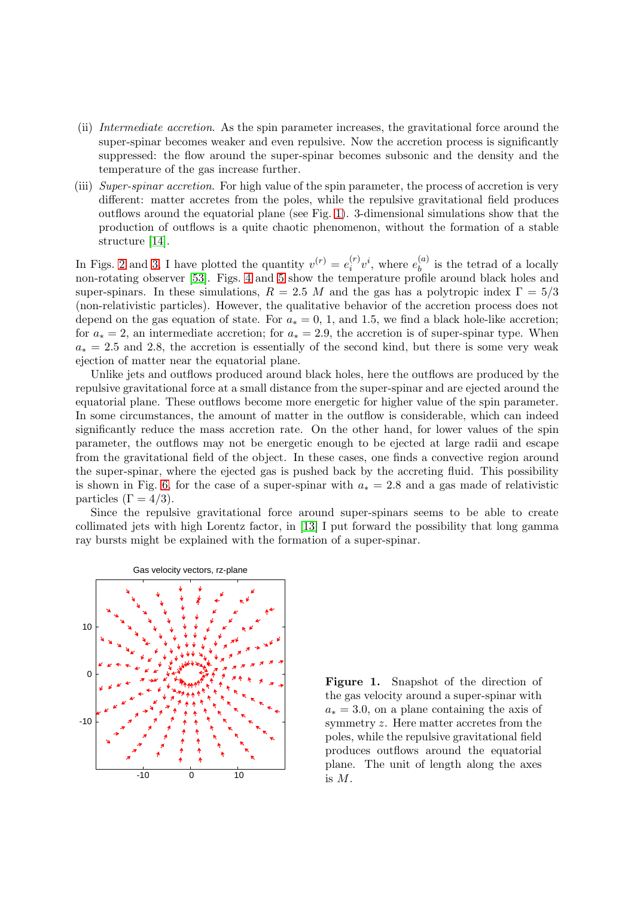- (ii) Intermediate accretion. As the spin parameter increases, the gravitational force around the super-spinar becomes weaker and even repulsive. Now the accretion process is significantly suppressed: the flow around the super-spinar becomes subsonic and the density and the temperature of the gas increase further.
- (iii) Super-spinar accretion. For high value of the spin parameter, the process of accretion is very different: matter accretes from the poles, while the repulsive gravitational field produces outflows around the equatorial plane (see Fig. [1\)](#page-4-0). 3-dimensional simulations show that the production of outflows is a quite chaotic phenomenon, without the formation of a stable structure [\[14\]](#page-6-4).

In Figs. [2](#page-5-9) and [3,](#page-5-10) I have plotted the quantity  $v^{(r)} = e_i^{(r)}$  $i^{(r)}v^i$ , where  $e_b^{(a)}$  $b_i^{(u)}$  is the tetrad of a locally non-rotating observer [\[53\]](#page-7-8). Figs. [4](#page-5-11) and [5](#page-5-12) show the temperature profile around black holes and super-spinars. In these simulations,  $R = 2.5$  M and the gas has a polytropic index  $\Gamma = 5/3$ (non-relativistic particles). However, the qualitative behavior of the accretion process does not depend on the gas equation of state. For  $a_* = 0, 1$ , and 1.5, we find a black hole-like accretion; for  $a_* = 2$ , an intermediate accretion; for  $a_* = 2.9$ , the accretion is of super-spinar type. When  $a_* = 2.5$  and 2.8, the accretion is essentially of the second kind, but there is some very weak ejection of matter near the equatorial plane.

Unlike jets and outflows produced around black holes, here the outflows are produced by the repulsive gravitational force at a small distance from the super-spinar and are ejected around the equatorial plane. These outflows become more energetic for higher value of the spin parameter. In some circumstances, the amount of matter in the outflow is considerable, which can indeed significantly reduce the mass accretion rate. On the other hand, for lower values of the spin parameter, the outflows may not be energetic enough to be ejected at large radii and escape from the gravitational field of the object. In these cases, one finds a convective region around the super-spinar, where the ejected gas is pushed back by the accreting fluid. This possibility is shown in Fig. [6,](#page-6-35) for the case of a super-spinar with  $a_* = 2.8$  and a gas made of relativistic particles  $(\Gamma = 4/3)$ .

Since the repulsive gravitational force around super-spinars seems to be able to create collimated jets with high Lorentz factor, in [\[13\]](#page-6-3) I put forward the possibility that long gamma ray bursts might be explained with the formation of a super-spinar.



<span id="page-4-0"></span>Figure 1. Snapshot of the direction of the gas velocity around a super-spinar with  $a_* = 3.0$ , on a plane containing the axis of symmetry z. Here matter accretes from the poles, while the repulsive gravitational field produces outflows around the equatorial plane. The unit of length along the axes is M.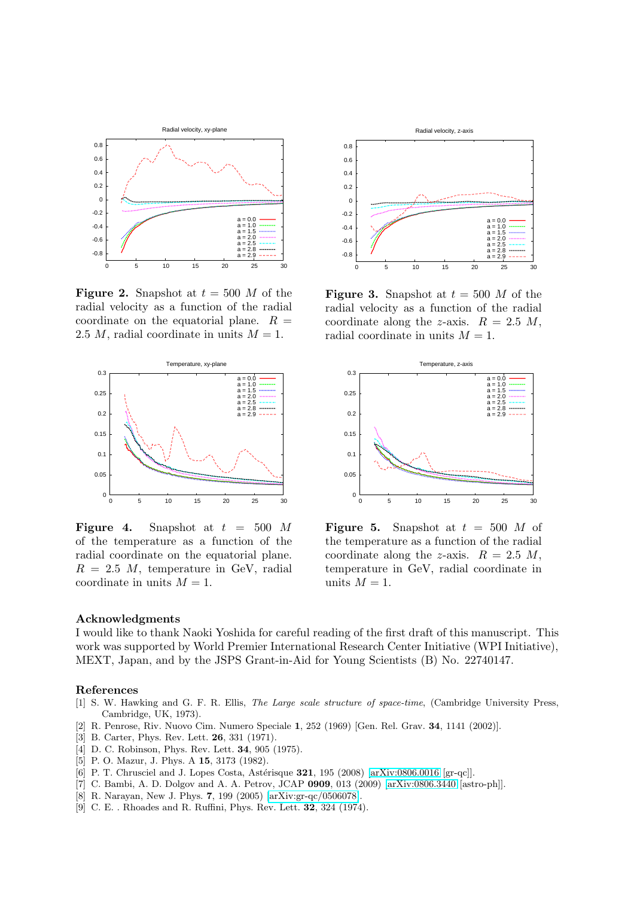

<span id="page-5-9"></span>**Figure 2.** Snapshot at  $t = 500$  *M* of the radial velocity as a function of the radial coordinate on the equatorial plane.  $R =$ 2.5 M, radial coordinate in units  $M = 1$ .



<span id="page-5-11"></span>Figure 4. Snapshot at  $t = 500$  M of the temperature as a function of the radial coordinate on the equatorial plane.  $R = 2.5$  M, temperature in GeV, radial coordinate in units  $M = 1$ .



<span id="page-5-10"></span>**Figure 3.** Snapshot at  $t = 500$  *M* of the radial velocity as a function of the radial coordinate along the z-axis.  $R = 2.5$  M, radial coordinate in units  $M = 1$ .



<span id="page-5-12"></span>**Figure 5.** Snapshot at  $t = 500$  *M* of the temperature as a function of the radial coordinate along the z-axis.  $R = 2.5$  M, temperature in GeV, radial coordinate in units  $M = 1$ .

## Acknowledgments

I would like to thank Naoki Yoshida for careful reading of the first draft of this manuscript. This work was supported by World Premier International Research Center Initiative (WPI Initiative), MEXT, Japan, and by the JSPS Grant-in-Aid for Young Scientists (B) No. 22740147.

#### <span id="page-5-0"></span>References

- [1] S. W. Hawking and G. F. R. Ellis, The Large scale structure of space-time, (Cambridge University Press, Cambridge, UK, 1973).
- <span id="page-5-2"></span><span id="page-5-1"></span>[2] R. Penrose, Riv. Nuovo Cim. Numero Speciale 1, 252 (1969) [Gen. Rel. Grav. 34, 1141 (2002)].
- <span id="page-5-3"></span>[3] B. Carter, Phys. Rev. Lett. **26**, 331 (1971).
- <span id="page-5-4"></span>[4] D. C. Robinson, Phys. Rev. Lett. 34, 905 (1975).
- <span id="page-5-5"></span>[5] P. O. Mazur, J. Phys. A 15, 3173 (1982).
- <span id="page-5-7"></span>[6] P. T. Chrusciel and J. Lopes Costa, Astérisque 321, 195 (2008) [\[arXiv:0806.0016](http://arxiv.org/abs/0806.0016) [gr-qc]].
- <span id="page-5-6"></span>[7] C. Bambi, A. D. Dolgov and A. A. Petrov, JCAP 0909, 013 (2009) [\[arXiv:0806.3440](http://arxiv.org/abs/0806.3440) [astro-ph]].
- <span id="page-5-8"></span>[8] R. Narayan, New J. Phys. 7, 199 (2005) [\[arXiv:gr-qc/0506078\]](http://arxiv.org/abs/gr-qc/0506078).
- [9] C. E. . Rhoades and R. Ruffini, Phys. Rev. Lett. 32, 324 (1974).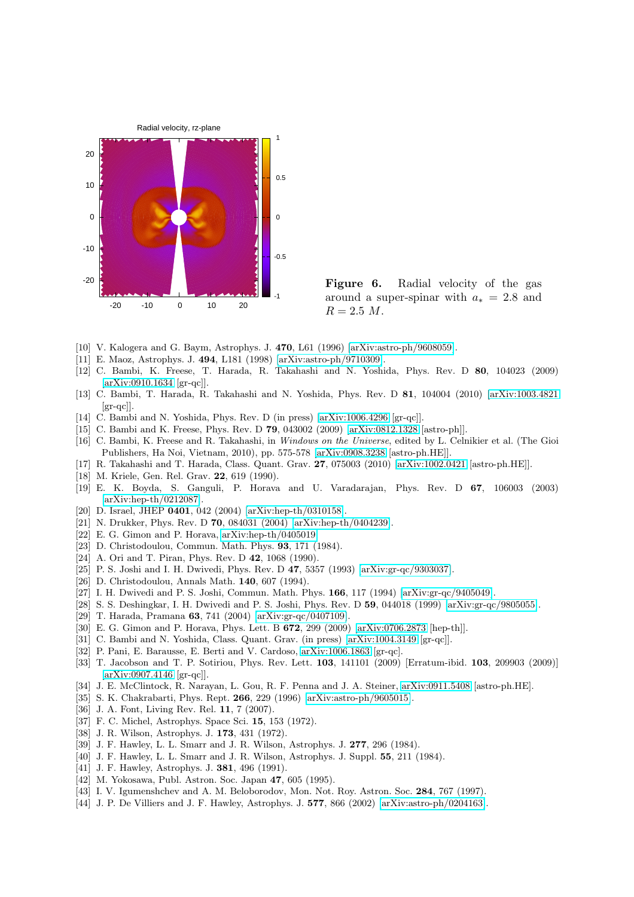

<span id="page-6-35"></span>Figure 6. Radial velocity of the gas around a super-spinar with  $a_* = 2.8$  and  $R = 2.5 M$ .

- <span id="page-6-1"></span><span id="page-6-0"></span>[10] V. Kalogera and G. Baym, Astrophys. J. 470, L61 (1996) [\[arXiv:astro-ph/9608059\]](http://arxiv.org/abs/astro-ph/9608059).
- <span id="page-6-2"></span>[11] E. Maoz, Astrophys. J. 494, L181 (1998) [\[arXiv:astro-ph/9710309\]](http://arxiv.org/abs/astro-ph/9710309).
- [12] C. Bambi, K. Freese, T. Harada, R. Takahashi and N. Yoshida, Phys. Rev. D 80, 104023 (2009) [\[arXiv:0910.1634](http://arxiv.org/abs/0910.1634) [gr-qc]].
- <span id="page-6-3"></span>[13] C. Bambi, T. Harada, R. Takahashi and N. Yoshida, Phys. Rev. D 81, 104004 (2010) [\[arXiv:1003.4821](http://arxiv.org/abs/1003.4821)  $\left[\text{gr-qc}\right]$ .
- <span id="page-6-5"></span><span id="page-6-4"></span>[14] C. Bambi and N. Yoshida, Phys. Rev. D (in press) [\[arXiv:1006.4296](http://arxiv.org/abs/1006.4296) [gr-qc]].
- <span id="page-6-6"></span>[15] C. Bambi and K. Freese, Phys. Rev. D 79, 043002 (2009) [\[arXiv:0812.1328](http://arxiv.org/abs/0812.1328) [astro-ph]].
- [16] C. Bambi, K. Freese and R. Takahashi, in Windows on the Universe, edited by L. Celnikier et al. (The Gioi Publishers, Ha Noi, Vietnam, 2010), pp. 575-578 [\[arXiv:0908.3238](http://arxiv.org/abs/0908.3238) [astro-ph.HE]].
- <span id="page-6-8"></span><span id="page-6-7"></span>[17] R. Takahashi and T. Harada, Class. Quant. Grav. 27, 075003 (2010) [\[arXiv:1002.0421](http://arxiv.org/abs/1002.0421) [astro-ph.HE]].
- <span id="page-6-9"></span>[18] M. Kriele, Gen. Rel. Grav. **22**, 619 (1990).
- [19] E. K. Boyda, S. Ganguli, P. Horava and U. Varadarajan, Phys. Rev. D 67, 106003 (2003) [\[arXiv:hep-th/0212087\]](http://arxiv.org/abs/hep-th/0212087).
- <span id="page-6-11"></span><span id="page-6-10"></span>[20] D. Israel, JHEP **0401**, 042 (2004) [\[arXiv:hep-th/0310158\]](http://arxiv.org/abs/hep-th/0310158).
- <span id="page-6-12"></span>[21] N. Drukker, Phys. Rev. D **70**, 084031 (2004) [\[arXiv:hep-th/0404239\]](http://arxiv.org/abs/hep-th/0404239).
- <span id="page-6-13"></span>[22] E. G. Gimon and P. Horava, [arXiv:hep-th/0405019.](http://arxiv.org/abs/hep-th/0405019)
- <span id="page-6-14"></span>[23] D. Christodoulou, Commun. Math. Phys. 93, 171 (1984).
- <span id="page-6-15"></span>[24] A. Ori and T. Piran, Phys. Rev. D **42**, 1068 (1990).
- <span id="page-6-16"></span>[25] P. S. Joshi and I. H. Dwivedi, Phys. Rev. D 47, 5357 (1993) [\[arXiv:gr-qc/9303037\]](http://arxiv.org/abs/gr-qc/9303037).
- <span id="page-6-17"></span>[26] D. Christodoulou, Annals Math. 140, 607 (1994).
- <span id="page-6-18"></span>[27] I. H. Dwivedi and P. S. Joshi, Commun. Math. Phys. **166**, 117 (1994) [\[arXiv:gr-qc/9405049\]](http://arxiv.org/abs/gr-qc/9405049).
- <span id="page-6-19"></span>[28] S. S. Deshingkar, I. H. Dwivedi and P. S. Joshi, Phys. Rev. D 59, 044018 (1999) [\[arXiv:gr-qc/9805055\]](http://arxiv.org/abs/gr-qc/9805055).
- <span id="page-6-20"></span>[29] T. Harada, Pramana 63, 741 (2004) [\[arXiv:gr-qc/0407109\]](http://arxiv.org/abs/gr-qc/0407109).
- <span id="page-6-21"></span>[30] E. G. Gimon and P. Horava, Phys. Lett. B 672, 299 (2009) [\[arXiv:0706.2873](http://arxiv.org/abs/0706.2873) [hep-th]].
- <span id="page-6-22"></span>[31] C. Bambi and N. Yoshida, Class. Quant. Grav. (in press) [\[arXiv:1004.3149](http://arxiv.org/abs/1004.3149) [gr-qc]].
- <span id="page-6-23"></span>[32] P. Pani, E. Barausse, E. Berti and V. Cardoso, [arXiv:1006.1863](http://arxiv.org/abs/1006.1863) [gr-qc].
- [33] T. Jacobson and T. P. Sotiriou, Phys. Rev. Lett. 103, 141101 (2009) [Erratum-ibid. 103, 209903 (2009)] [\[arXiv:0907.4146](http://arxiv.org/abs/0907.4146) [gr-qc]].
- <span id="page-6-25"></span><span id="page-6-24"></span>[34] J. E. McClintock, R. Narayan, L. Gou, R. F. Penna and J. A. Steiner, [arXiv:0911.5408](http://arxiv.org/abs/0911.5408) [astro-ph.HE].
- <span id="page-6-26"></span>[35] S. K. Chakrabarti, Phys. Rept. 266, 229 (1996) [\[arXiv:astro-ph/9605015\]](http://arxiv.org/abs/astro-ph/9605015).
- <span id="page-6-27"></span>[36] J. A. Font, Living Rev. Rel. 11, 7 (2007).
- <span id="page-6-28"></span>[37] F. C. Michel, Astrophys. Space Sci. 15, 153 (1972).
- <span id="page-6-29"></span>[38] J. R. Wilson, Astrophys. J. 173, 431 (1972).
- <span id="page-6-30"></span>[39] J. F. Hawley, L. L. Smarr and J. R. Wilson, Astrophys. J. 277, 296 (1984).
- <span id="page-6-31"></span>[40] J. F. Hawley, L. L. Smarr and J. R. Wilson, Astrophys. J. Suppl. 55, 211 (1984).
- <span id="page-6-32"></span>[41] J. F. Hawley, Astrophys. J. **381**, 496 (1991).
- <span id="page-6-33"></span>[42] M. Yokosawa, Publ. Astron. Soc. Japan 47, 605 (1995).
- <span id="page-6-34"></span>[43] I. V. Igumenshchev and A. M. Beloborodov, Mon. Not. Roy. Astron. Soc. 284, 767 (1997).
- [44] J. P. De Villiers and J. F. Hawley, Astrophys. J. **577**, 866 (2002) [\[arXiv:astro-ph/0204163\]](http://arxiv.org/abs/astro-ph/0204163).